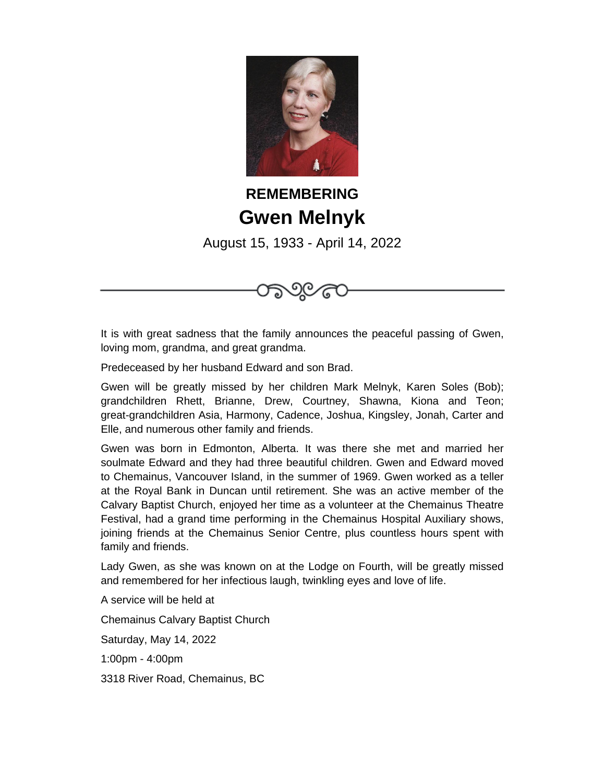

## **REMEMBERING Gwen Melnyk**

August 15, 1933 - April 14, 2022



It is with great sadness that the family announces the peaceful passing of Gwen, loving mom, grandma, and great grandma.

Predeceased by her husband Edward and son Brad.

Gwen will be greatly missed by her children Mark Melnyk, Karen Soles (Bob); grandchildren Rhett, Brianne, Drew, Courtney, Shawna, Kiona and Teon; great-grandchildren Asia, Harmony, Cadence, Joshua, Kingsley, Jonah, Carter and Elle, and numerous other family and friends.

Gwen was born in Edmonton, Alberta. It was there she met and married her soulmate Edward and they had three beautiful children. Gwen and Edward moved to Chemainus, Vancouver Island, in the summer of 1969. Gwen worked as a teller at the Royal Bank in Duncan until retirement. She was an active member of the Calvary Baptist Church, enjoyed her time as a volunteer at the Chemainus Theatre Festival, had a grand time performing in the Chemainus Hospital Auxiliary shows, joining friends at the Chemainus Senior Centre, plus countless hours spent with family and friends.

Lady Gwen, as she was known on at the Lodge on Fourth, will be greatly missed and remembered for her infectious laugh, twinkling eyes and love of life.

A service will be held at

Chemainus Calvary Baptist Church

Saturday, May 14, 2022

1:00pm - 4:00pm

3318 River Road, Chemainus, BC